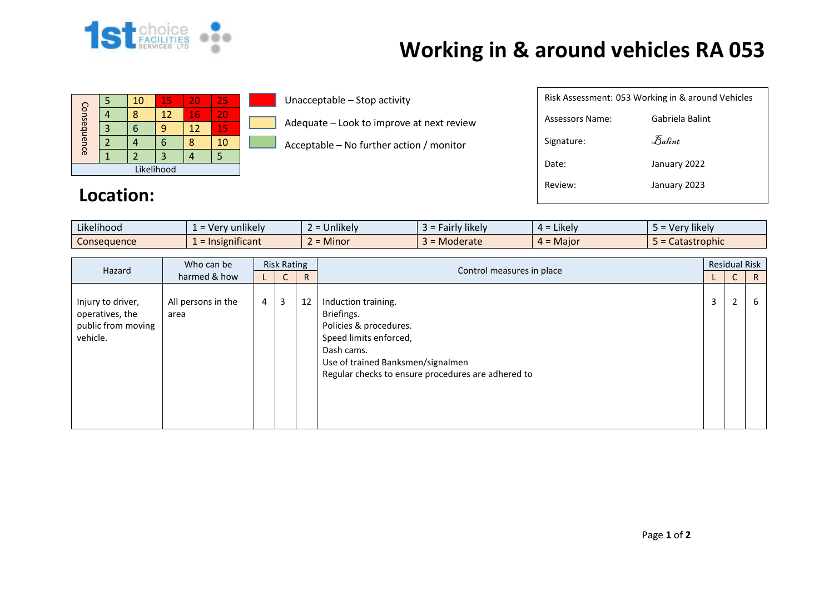

## **Working in & around vehicles RA 053**

|             |   | 10 | 15 | 20 | 25 |  |  |
|-------------|---|----|----|----|----|--|--|
| Consequence |   | Я  | 12 | 16 | 20 |  |  |
|             | 3 |    |    | 12 | 15 |  |  |
|             |   |    |    |    | 10 |  |  |
|             |   |    | 3  |    |    |  |  |
| Likelihood  |   |    |    |    |    |  |  |

Unacceptable – Stop activity

Adequate – Look to improve at next review

Acceptable – No further action / monitor

| Risk Assessment: 053 Working in & around Vehicles |                                |  |  |  |  |  |  |  |
|---------------------------------------------------|--------------------------------|--|--|--|--|--|--|--|
| Assessors Name:                                   | Gabriela Balint                |  |  |  |  |  |  |  |
| Signature:                                        | $\mathcal{F}_{\mathit{abint}}$ |  |  |  |  |  |  |  |
| Date:                                             | January 2022                   |  |  |  |  |  |  |  |
| Review:                                           | January 2023                   |  |  |  |  |  |  |  |
|                                                   |                                |  |  |  |  |  |  |  |

## **Location:**

| Likelihood<br>$\cdots$ | 'v unlikelv<br>- Ver            | $\cdots$<br>$\sim$<br><b>Jnlikely</b> | Fairly likely<br>- כ | $\cdot$ $\cdot$ $\cdot$<br>$4 =$ Likely | Very likely  |
|------------------------|---------------------------------|---------------------------------------|----------------------|-----------------------------------------|--------------|
| Consequence            | .<br>$\epsilon$ = Insignificant | A<br>$\sim$<br><b>Minor</b>           | Moderate             | $4 =$ Major                             | Catastrophic |

| Who can be<br>Hazard<br>harmed & how                                   | <b>Risk Rating</b>         |                |   |    | <b>Residual Risk</b>                                                                                                                                                                           |   |                 |              |
|------------------------------------------------------------------------|----------------------------|----------------|---|----|------------------------------------------------------------------------------------------------------------------------------------------------------------------------------------------------|---|-----------------|--------------|
|                                                                        |                            |                | C | R  | Control measures in place                                                                                                                                                                      |   | $\sqrt{2}$<br>U | $\mathsf{R}$ |
| Injury to driver,<br>operatives, the<br>public from moving<br>vehicle. | All persons in the<br>area | $\overline{4}$ | 3 | 12 | Induction training.<br>Briefings.<br>Policies & procedures.<br>Speed limits enforced,<br>Dash cams.<br>Use of trained Banksmen/signalmen<br>Regular checks to ensure procedures are adhered to | 3 | $\overline{2}$  | b            |